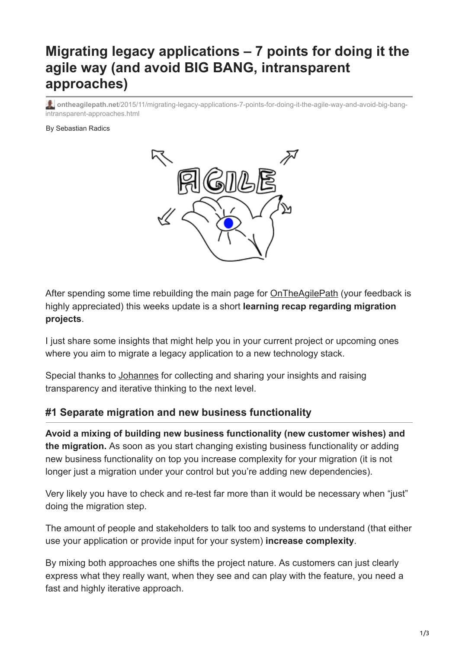# **Migrating legacy applications – 7 points for doing it the agile way (and avoid BIG BANG, intransparent approaches)**

**ontheagilepath.net**[/2015/11/migrating-legacy-applications-7-points-for-doing-it-the-agile-way-and-avoid-big-bang](https://www.ontheagilepath.net/2015/11/migrating-legacy-applications-7-points-for-doing-it-the-agile-way-and-avoid-big-bang-intransparent-approaches.html)intransparent-approaches.html

#### By Sebastian Radics



After spending some time rebuilding the main page for [OnTheAgilePath](http://www.ontheagilepath.net/) (your feedback is highly appreciated) this weeks update is a short **learning recap regarding migration projects**.

I just share some insights that might help you in your current project or upcoming ones where you aim to migrate a legacy application to a new technology stack.

Special thanks to [Johannes](https://www.linkedin.com/in/johannes-albrecht-897978a/de) for collecting and sharing your insights and raising transparency and iterative thinking to the next level.

#### **#1 Separate migration and new business functionality**

**Avoid a mixing of building new business functionality (new customer wishes) and the migration.** As soon as you start changing existing business functionality or adding new business functionality on top you increase complexity for your migration (it is not longer just a migration under your control but you're adding new dependencies).

Very likely you have to check and re-test far more than it would be necessary when "just" doing the migration step.

The amount of people and stakeholders to talk too and systems to understand (that either use your application or provide input for your system) **increase complexity**.

By mixing both approaches one shifts the project nature. As customers can just clearly express what they really want, when they see and can play with the feature, you need a fast and highly iterative approach.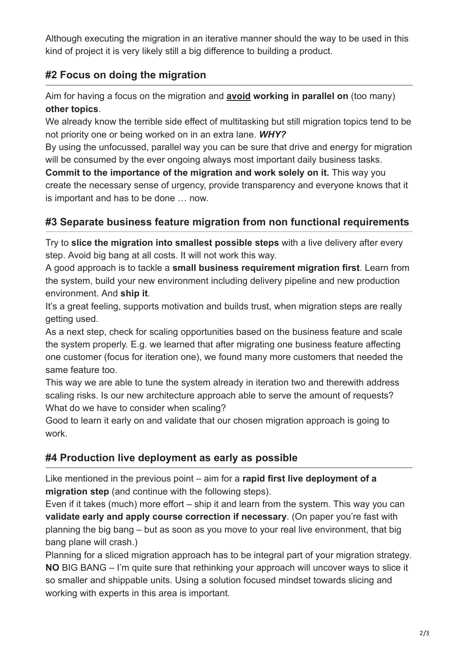Although executing the migration in an iterative manner should the way to be used in this kind of project it is very likely still a big difference to building a product.

# **#2 Focus on doing the migration**

Aim for having a focus on the migration and **avoid working in parallel on** (too many) **other topics**.

We already know the terrible side effect of multitasking but still migration topics tend to be not priority one or being worked on in an extra lane. *WHY?*

By using the unfocussed, parallel way you can be sure that drive and energy for migration will be consumed by the ever ongoing always most important daily business tasks.

**Commit to the importance of the migration and work solely on it.** This way you create the necessary sense of urgency, provide transparency and everyone knows that it is important and has to be done … now.

# **#3 Separate business feature migration from non functional requirements**

Try to **slice the migration into smallest possible steps** with a live delivery after every step. Avoid big bang at all costs. It will not work this way.

A good approach is to tackle a **small business requirement migration first**. Learn from the system, build your new environment including delivery pipeline and new production environment. And **ship it**.

It's a great feeling, supports motivation and builds trust, when migration steps are really getting used.

As a next step, check for scaling opportunities based on the business feature and scale the system properly. E.g. we learned that after migrating one business feature affecting one customer (focus for iteration one), we found many more customers that needed the same feature too.

This way we are able to tune the system already in iteration two and therewith address scaling risks. Is our new architecture approach able to serve the amount of requests? What do we have to consider when scaling?

Good to learn it early on and validate that our chosen migration approach is going to work.

## **#4 Production live deployment as early as possible**

Like mentioned in the previous point – aim for a **rapid first live deployment of a migration step** (and continue with the following steps).

Even if it takes (much) more effort – ship it and learn from the system. This way you can **validate early and apply course correction if necessary**. (On paper you're fast with planning the big bang – but as soon as you move to your real live environment, that big bang plane will crash.)

Planning for a sliced migration approach has to be integral part of your migration strategy. **NO** BIG BANG – I'm quite sure that rethinking your approach will uncover ways to slice it so smaller and shippable units. Using a solution focused mindset towards slicing and working with experts in this area is important.